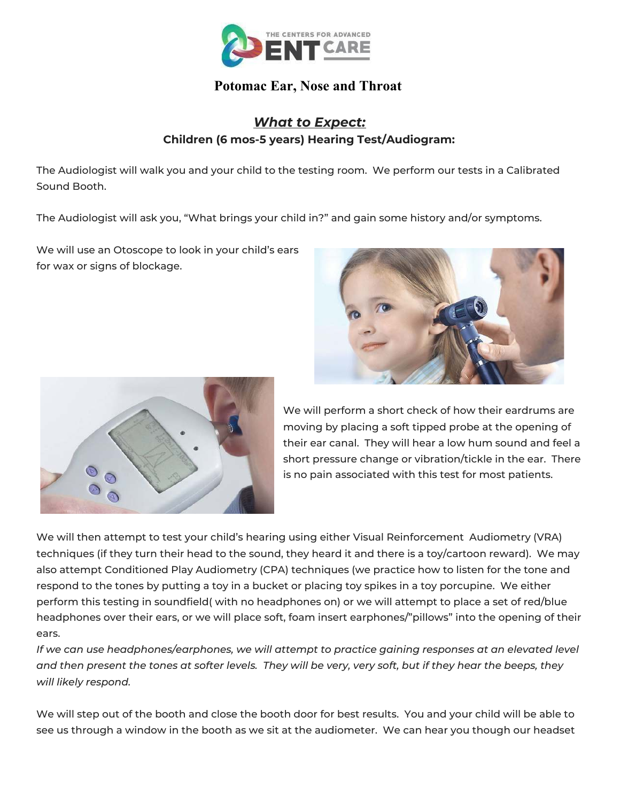

## **Potomac Ear, Nose and Throat**

## *What to Expect:* **Children (6 mos-5 years) Hearing Test/Audiogram:**

The Audiologist will walk you and your child to the testing room. We perform our tests in a Calibrated Sound Booth.

The Audiologist will ask you, "What brings your child in?" and gain some history and/or symptoms.

We will use an Otoscope to look in your child's ears for wax or signs of blockage.





We will perform a short check of how their eardrums are moving by placing a soft tipped probe at the opening of their ear canal. They will hear a low hum sound and feel a short pressure change or vibration/tickle in the ear. There is no pain associated with this test for most patients.

We will then attempt to test your child's hearing using either Visual Reinforcement Audiometry (VRA) techniques (if they turn their head to the sound, they heard it and there is a toy/cartoon reward). We may also attempt Conditioned Play Audiometry (CPA) techniques (we practice how to listen for the tone and respond to the tones by putting a toy in a bucket or placing toy spikes in a toy porcupine. We either perform this testing in soundfield( with no headphones on) or we will attempt to place a set of red/blue headphones over their ears, or we will place soft, foam insert earphones/"pillows" into the opening of their ears.

*If we can use headphones/earphones, we will attempt to practice gaining responses at an elevated level and then present the tones at softer levels. They will be very, very soft, but if they hear the beeps, they will likely respond.* 

We will step out of the booth and close the booth door for best results. You and your child will be able to see us through a window in the booth as we sit at the audiometer. We can hear you though our headset